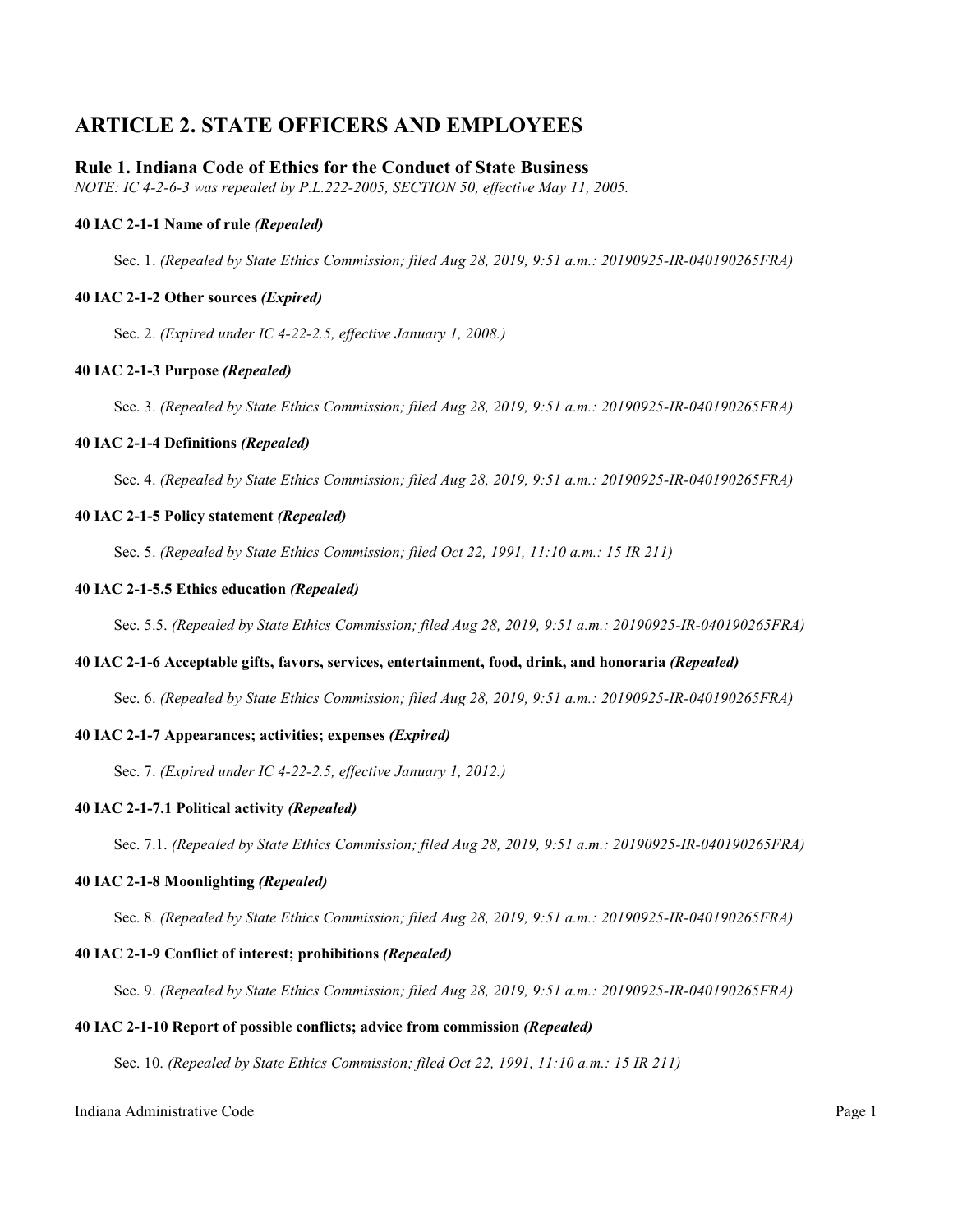# **ARTICLE 2. STATE OFFICERS AND EMPLOYEES**

# **Rule 1. Indiana Code of Ethics for the Conduct of State Business**

*NOTE: IC 4-2-6-3 was repealed by P.L.222-2005, SECTION 50, effective May 11, 2005.*

# **40 IAC 2-1-1 Name of rule** *(Repealed)*

Sec. 1. *(Repealed by State Ethics Commission; filed Aug 28, 2019, 9:51 a.m.: 20190925-IR-040190265FRA)*

# **40 IAC 2-1-2 Other sources** *(Expired)*

Sec. 2. *(Expired under IC 4-22-2.5, effective January 1, 2008.)*

# **40 IAC 2-1-3 Purpose** *(Repealed)*

Sec. 3. *(Repealed by State Ethics Commission; filed Aug 28, 2019, 9:51 a.m.: 20190925-IR-040190265FRA)*

# **40 IAC 2-1-4 Definitions** *(Repealed)*

Sec. 4. *(Repealed by State Ethics Commission; filed Aug 28, 2019, 9:51 a.m.: 20190925-IR-040190265FRA)*

# **40 IAC 2-1-5 Policy statement** *(Repealed)*

Sec. 5. *(Repealed by State Ethics Commission; filed Oct 22, 1991, 11:10 a.m.: 15 IR 211)*

# **40 IAC 2-1-5.5 Ethics education** *(Repealed)*

Sec. 5.5. *(Repealed by State Ethics Commission; filed Aug 28, 2019, 9:51 a.m.: 20190925-IR-040190265FRA)*

# **40 IAC 2-1-6 Acceptable gifts, favors, services, entertainment, food, drink, and honoraria** *(Repealed)*

Sec. 6. *(Repealed by State Ethics Commission; filed Aug 28, 2019, 9:51 a.m.: 20190925-IR-040190265FRA)*

# **40 IAC 2-1-7 Appearances; activities; expenses** *(Expired)*

Sec. 7. *(Expired under IC 4-22-2.5, effective January 1, 2012.)*

# **40 IAC 2-1-7.1 Political activity** *(Repealed)*

Sec. 7.1. *(Repealed by State Ethics Commission; filed Aug 28, 2019, 9:51 a.m.: 20190925-IR-040190265FRA)*

# **40 IAC 2-1-8 Moonlighting** *(Repealed)*

Sec. 8. *(Repealed by State Ethics Commission; filed Aug 28, 2019, 9:51 a.m.: 20190925-IR-040190265FRA)*

# **40 IAC 2-1-9 Conflict of interest; prohibitions** *(Repealed)*

Sec. 9. *(Repealed by State Ethics Commission; filed Aug 28, 2019, 9:51 a.m.: 20190925-IR-040190265FRA)*

# **40 IAC 2-1-10 Report of possible conflicts; advice from commission** *(Repealed)*

Sec. 10. *(Repealed by State Ethics Commission; filed Oct 22, 1991, 11:10 a.m.: 15 IR 211)*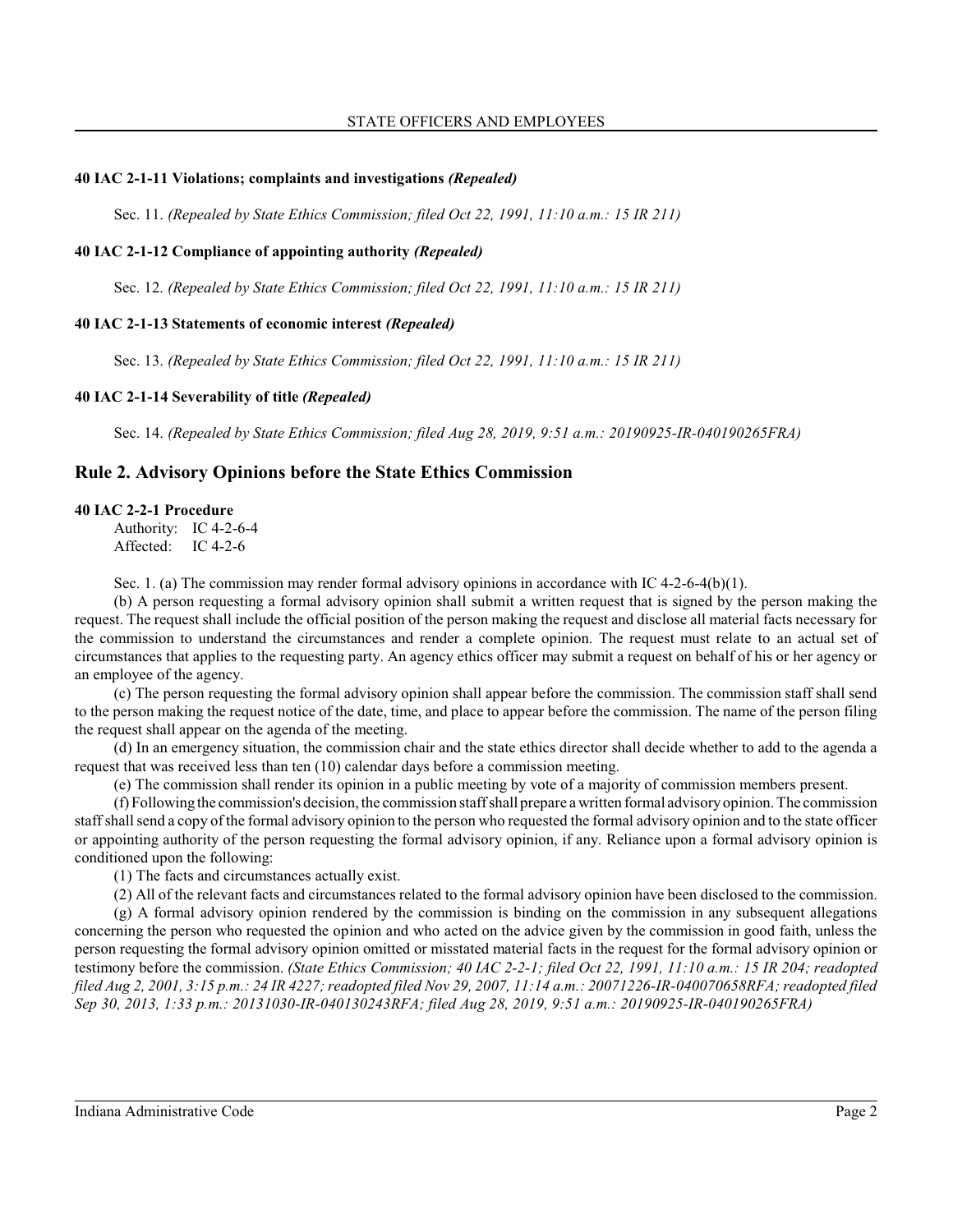#### **40 IAC 2-1-11 Violations; complaints and investigations** *(Repealed)*

Sec. 11. *(Repealed by State Ethics Commission; filed Oct 22, 1991, 11:10 a.m.: 15 IR 211)*

#### **40 IAC 2-1-12 Compliance of appointing authority** *(Repealed)*

Sec. 12. *(Repealed by State Ethics Commission; filed Oct 22, 1991, 11:10 a.m.: 15 IR 211)*

#### **40 IAC 2-1-13 Statements of economic interest** *(Repealed)*

Sec. 13. *(Repealed by State Ethics Commission; filed Oct 22, 1991, 11:10 a.m.: 15 IR 211)*

#### **40 IAC 2-1-14 Severability of title** *(Repealed)*

Sec. 14. *(Repealed by State Ethics Commission; filed Aug 28, 2019, 9:51 a.m.: 20190925-IR-040190265FRA)*

### **Rule 2. Advisory Opinions before the State Ethics Commission**

#### **40 IAC 2-2-1 Procedure**

Authority: IC 4-2-6-4 Affected: IC 4-2-6

Sec. 1. (a) The commission may render formal advisory opinions in accordance with IC 4-2-6-4(b)(1).

(b) A person requesting a formal advisory opinion shall submit a written request that is signed by the person making the request. The request shall include the official position of the person making the request and disclose all material facts necessary for the commission to understand the circumstances and render a complete opinion. The request must relate to an actual set of circumstances that applies to the requesting party. An agency ethics officer may submit a request on behalf of his or her agency or an employee of the agency.

(c) The person requesting the formal advisory opinion shall appear before the commission. The commission staff shall send to the person making the request notice of the date, time, and place to appear before the commission. The name of the person filing the request shall appear on the agenda of the meeting.

(d) In an emergency situation, the commission chair and the state ethics director shall decide whether to add to the agenda a request that was received less than ten (10) calendar days before a commission meeting.

(e) The commission shall render its opinion in a public meeting by vote of a majority of commission members present.

(f) Following the commission's decision, the commission staff shall prepare a written formal advisory opinion. The commission staff shall send a copy of the formal advisory opinion to the person who requested the formal advisory opinion and to the state officer or appointing authority of the person requesting the formal advisory opinion, if any. Reliance upon a formal advisory opinion is conditioned upon the following:

(1) The facts and circumstances actually exist.

(2) All of the relevant facts and circumstances related to the formal advisory opinion have been disclosed to the commission.

(g) A formal advisory opinion rendered by the commission is binding on the commission in any subsequent allegations concerning the person who requested the opinion and who acted on the advice given by the commission in good faith, unless the person requesting the formal advisory opinion omitted or misstated material facts in the request for the formal advisory opinion or testimony before the commission. *(State Ethics Commission; 40 IAC 2-2-1; filed Oct 22, 1991, 11:10 a.m.: 15 IR 204; readopted filed Aug 2, 2001, 3:15 p.m.: 24 IR 4227; readopted filed Nov 29, 2007, 11:14 a.m.: 20071226-IR-040070658RFA; readopted filed Sep 30, 2013, 1:33 p.m.: 20131030-IR-040130243RFA; filed Aug 28, 2019, 9:51 a.m.: 20190925-IR-040190265FRA)*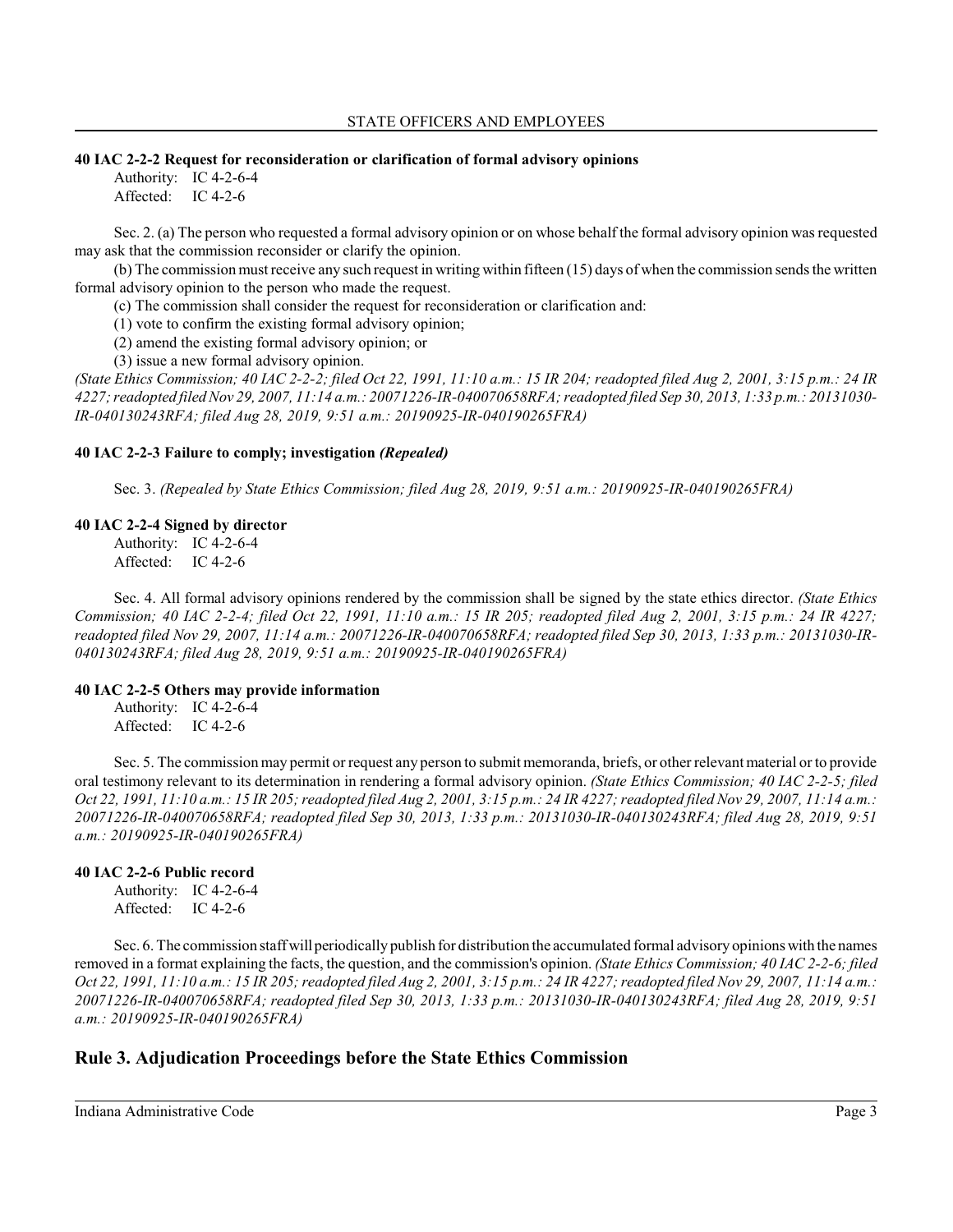#### **40 IAC 2-2-2 Request for reconsideration or clarification of formal advisory opinions**

Authority: IC 4-2-6-4 Affected: IC 4-2-6

Sec. 2. (a) The person who requested a formal advisory opinion or on whose behalf the formal advisory opinion was requested may ask that the commission reconsider or clarify the opinion.

(b) The commission mustreceive any such request in writing within fifteen (15) days of when the commission sends the written formal advisory opinion to the person who made the request.

(c) The commission shall consider the request for reconsideration or clarification and:

(1) vote to confirm the existing formal advisory opinion;

(2) amend the existing formal advisory opinion; or

(3) issue a new formal advisory opinion.

*(State Ethics Commission; 40 IAC 2-2-2; filed Oct 22, 1991, 11:10 a.m.: 15 IR 204; readopted filed Aug 2, 2001, 3:15 p.m.: 24 IR 4227; readopted filed Nov 29, 2007, 11:14 a.m.: 20071226-IR-040070658RFA; readopted filed Sep 30, 2013, 1:33 p.m.: 20131030- IR-040130243RFA; filed Aug 28, 2019, 9:51 a.m.: 20190925-IR-040190265FRA)*

### **40 IAC 2-2-3 Failure to comply; investigation** *(Repealed)*

Sec. 3. *(Repealed by State Ethics Commission; filed Aug 28, 2019, 9:51 a.m.: 20190925-IR-040190265FRA)*

# **40 IAC 2-2-4 Signed by director**

Authority: IC 4-2-6-4 Affected: IC 4-2-6

Sec. 4. All formal advisory opinions rendered by the commission shall be signed by the state ethics director. *(State Ethics Commission; 40 IAC 2-2-4; filed Oct 22, 1991, 11:10 a.m.: 15 IR 205; readopted filed Aug 2, 2001, 3:15 p.m.: 24 IR 4227; readopted filed Nov 29, 2007, 11:14 a.m.: 20071226-IR-040070658RFA; readopted filed Sep 30, 2013, 1:33 p.m.: 20131030-IR-040130243RFA; filed Aug 28, 2019, 9:51 a.m.: 20190925-IR-040190265FRA)*

# **40 IAC 2-2-5 Others may provide information**

Authority: IC 4-2-6-4 Affected: IC 4-2-6

Sec. 5. The commission may permit or request any person to submit memoranda, briefs, or other relevant material or to provide oral testimony relevant to its determination in rendering a formal advisory opinion. *(State Ethics Commission; 40 IAC 2-2-5; filed Oct 22, 1991, 11:10 a.m.: 15 IR 205;readopted filed Aug 2, 2001, 3:15 p.m.: 24 IR 4227; readopted filed Nov 29, 2007, 11:14 a.m.: 20071226-IR-040070658RFA; readopted filed Sep 30, 2013, 1:33 p.m.: 20131030-IR-040130243RFA; filed Aug 28, 2019, 9:51 a.m.: 20190925-IR-040190265FRA)*

# **40 IAC 2-2-6 Public record**

Authority: IC 4-2-6-4 Affected: IC 4-2-6

Sec. 6. The commission staff will periodically publish for distribution the accumulated formal advisory opinionswith the names removed in a format explaining the facts, the question, and the commission's opinion. *(State Ethics Commission; 40 IAC 2-2-6; filed Oct 22, 1991, 11:10 a.m.: 15 IR 205;readopted filed Aug 2, 2001, 3:15 p.m.: 24 IR 4227; readopted filed Nov 29, 2007, 11:14 a.m.: 20071226-IR-040070658RFA; readopted filed Sep 30, 2013, 1:33 p.m.: 20131030-IR-040130243RFA; filed Aug 28, 2019, 9:51 a.m.: 20190925-IR-040190265FRA)*

# **Rule 3. Adjudication Proceedings before the State Ethics Commission**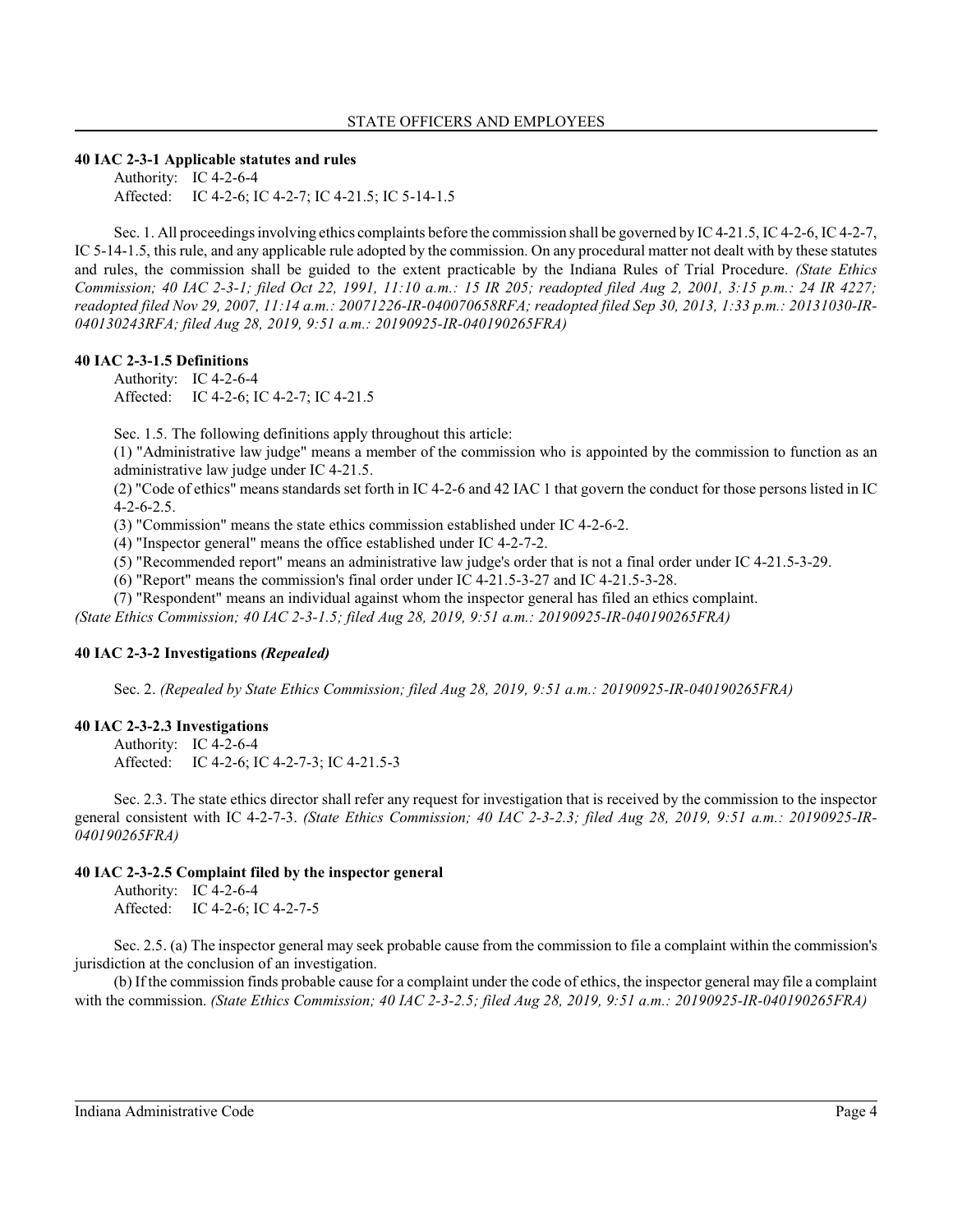### **40 IAC 2-3-1 Applicable statutes and rules**

Authority: IC 4-2-6-4 Affected: IC 4-2-6; IC 4-2-7; IC 4-21.5; IC 5-14-1.5

Sec. 1. All proceedingsinvolving ethics complaints before the commission shall be governed by IC 4-21.5, IC 4-2-6, IC 4-2-7, IC 5-14-1.5, this rule, and any applicable rule adopted by the commission. On any procedural matter not dealt with by these statutes and rules, the commission shall be guided to the extent practicable by the Indiana Rules of Trial Procedure. *(State Ethics Commission; 40 IAC 2-3-1; filed Oct 22, 1991, 11:10 a.m.: 15 IR 205; readopted filed Aug 2, 2001, 3:15 p.m.: 24 IR 4227; readopted filed Nov 29, 2007, 11:14 a.m.: 20071226-IR-040070658RFA; readopted filed Sep 30, 2013, 1:33 p.m.: 20131030-IR-040130243RFA; filed Aug 28, 2019, 9:51 a.m.: 20190925-IR-040190265FRA)*

#### **40 IAC 2-3-1.5 Definitions**

Authority: IC 4-2-6-4 Affected: IC 4-2-6; IC 4-2-7; IC 4-21.5

Sec. 1.5. The following definitions apply throughout this article:

(1) "Administrative law judge" means a member of the commission who is appointed by the commission to function as an administrative law judge under IC 4-21.5.

(2) "Code of ethics" means standards set forth in IC 4-2-6 and 42 IAC 1 that govern the conduct for those persons listed in IC 4-2-6-2.5.

(3) "Commission" means the state ethics commission established under IC 4-2-6-2.

(4) "Inspector general" means the office established under IC 4-2-7-2.

(5) "Recommended report" means an administrative law judge's order that is not a final order under IC 4-21.5-3-29.

(6) "Report" means the commission's final order under IC 4-21.5-3-27 and IC 4-21.5-3-28.

(7) "Respondent" means an individual against whom the inspector general has filed an ethics complaint.

*(State Ethics Commission; 40 IAC 2-3-1.5; filed Aug 28, 2019, 9:51 a.m.: 20190925-IR-040190265FRA)*

# **40 IAC 2-3-2 Investigations** *(Repealed)*

Sec. 2. *(Repealed by State Ethics Commission; filed Aug 28, 2019, 9:51 a.m.: 20190925-IR-040190265FRA)*

# **40 IAC 2-3-2.3 Investigations**

Authority: IC 4-2-6-4 Affected: IC 4-2-6; IC 4-2-7-3; IC 4-21.5-3

Sec. 2.3. The state ethics director shall refer any request for investigation that is received by the commission to the inspector general consistent with IC 4-2-7-3. *(State Ethics Commission; 40 IAC 2-3-2.3; filed Aug 28, 2019, 9:51 a.m.: 20190925-IR-040190265FRA)*

# **40 IAC 2-3-2.5 Complaint filed by the inspector general**

Authority: IC 4-2-6-4 Affected: IC 4-2-6; IC 4-2-7-5

Sec. 2.5. (a) The inspector general may seek probable cause from the commission to file a complaint within the commission's jurisdiction at the conclusion of an investigation.

(b) If the commission finds probable cause for a complaint under the code of ethics, the inspector general may file a complaint with the commission. *(State Ethics Commission; 40 IAC 2-3-2.5; filed Aug 28, 2019, 9:51 a.m.: 20190925-IR-040190265FRA)*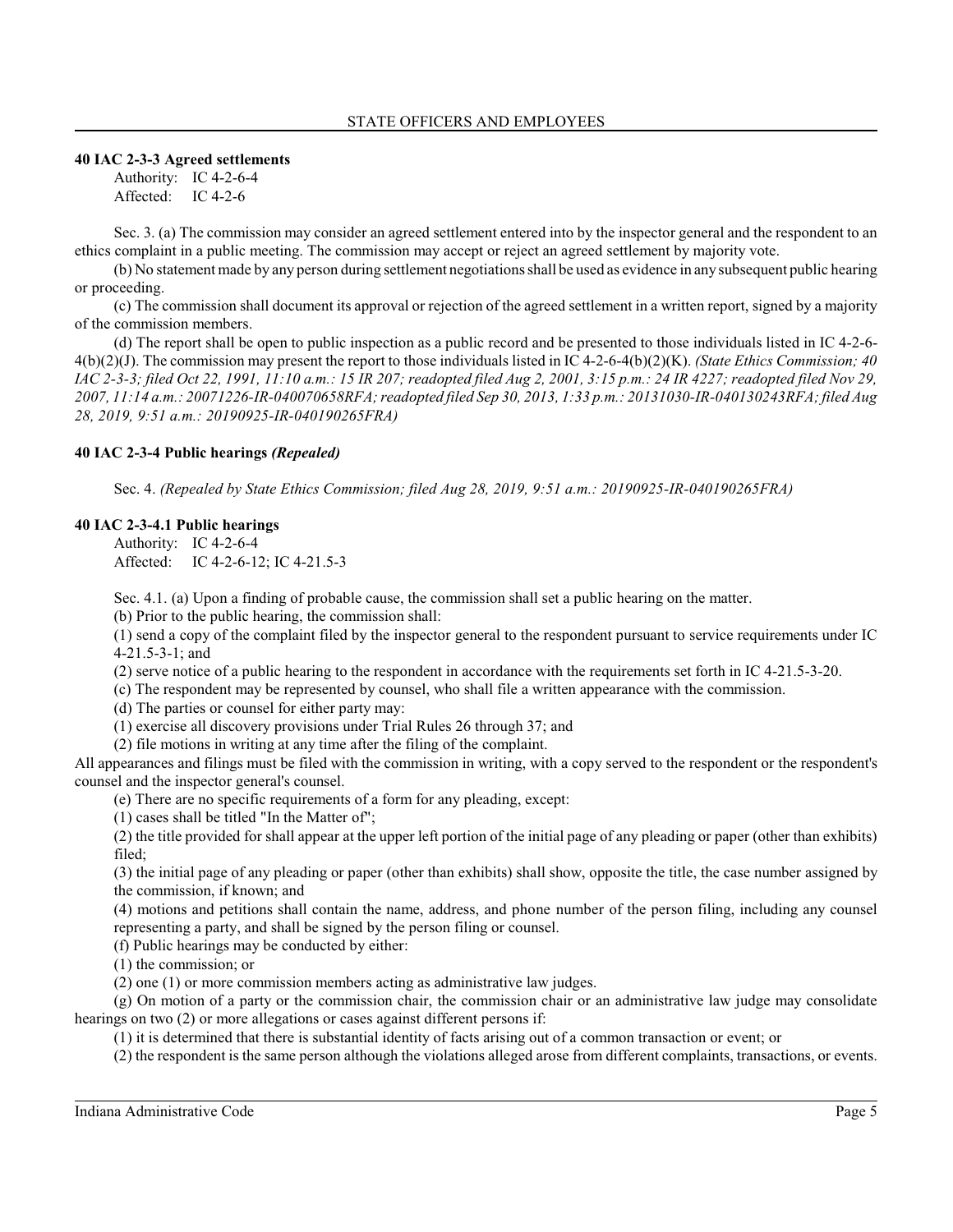#### **40 IAC 2-3-3 Agreed settlements**

Authority: IC 4-2-6-4 Affected: IC 4-2-6

Sec. 3. (a) The commission may consider an agreed settlement entered into by the inspector general and the respondent to an ethics complaint in a public meeting. The commission may accept or reject an agreed settlement by majority vote.

(b) No statement made by any person during settlement negotiations shall be used as evidence in any subsequent public hearing or proceeding.

(c) The commission shall document its approval or rejection of the agreed settlement in a written report, signed by a majority of the commission members.

(d) The report shall be open to public inspection as a public record and be presented to those individuals listed in IC 4-2-6- 4(b)(2)(J). The commission may present the report to those individuals listed in IC 4-2-6-4(b)(2)(K). *(State Ethics Commission; 40 IAC 2-3-3; filed Oct 22, 1991, 11:10 a.m.: 15 IR 207; readopted filed Aug 2, 2001, 3:15 p.m.: 24 IR 4227; readopted filed Nov 29, 2007, 11:14 a.m.: 20071226-IR-040070658RFA; readopted filed Sep 30, 2013, 1:33 p.m.: 20131030-IR-040130243RFA; filed Aug 28, 2019, 9:51 a.m.: 20190925-IR-040190265FRA)*

### **40 IAC 2-3-4 Public hearings** *(Repealed)*

Sec. 4. *(Repealed by State Ethics Commission; filed Aug 28, 2019, 9:51 a.m.: 20190925-IR-040190265FRA)*

### **40 IAC 2-3-4.1 Public hearings**

Authority: IC 4-2-6-4 Affected: IC 4-2-6-12; IC 4-21.5-3

Sec. 4.1. (a) Upon a finding of probable cause, the commission shall set a public hearing on the matter.

(b) Prior to the public hearing, the commission shall:

(1) send a copy of the complaint filed by the inspector general to the respondent pursuant to service requirements under IC 4-21.5-3-1; and

(2) serve notice of a public hearing to the respondent in accordance with the requirements set forth in IC 4-21.5-3-20.

(c) The respondent may be represented by counsel, who shall file a written appearance with the commission.

(d) The parties or counsel for either party may:

(1) exercise all discovery provisions under Trial Rules 26 through 37; and

(2) file motions in writing at any time after the filing of the complaint.

All appearances and filings must be filed with the commission in writing, with a copy served to the respondent or the respondent's counsel and the inspector general's counsel.

(e) There are no specific requirements of a form for any pleading, except:

(1) cases shall be titled "In the Matter of";

(2) the title provided for shall appear at the upper left portion of the initial page of any pleading or paper (other than exhibits) filed;

(3) the initial page of any pleading or paper (other than exhibits) shall show, opposite the title, the case number assigned by the commission, if known; and

(4) motions and petitions shall contain the name, address, and phone number of the person filing, including any counsel representing a party, and shall be signed by the person filing or counsel.

(f) Public hearings may be conducted by either:

(1) the commission; or

(2) one (1) or more commission members acting as administrative law judges.

(g) On motion of a party or the commission chair, the commission chair or an administrative law judge may consolidate hearings on two (2) or more allegations or cases against different persons if:

(1) it is determined that there is substantial identity of facts arising out of a common transaction or event; or

(2) the respondent is the same person although the violations alleged arose from different complaints, transactions, or events.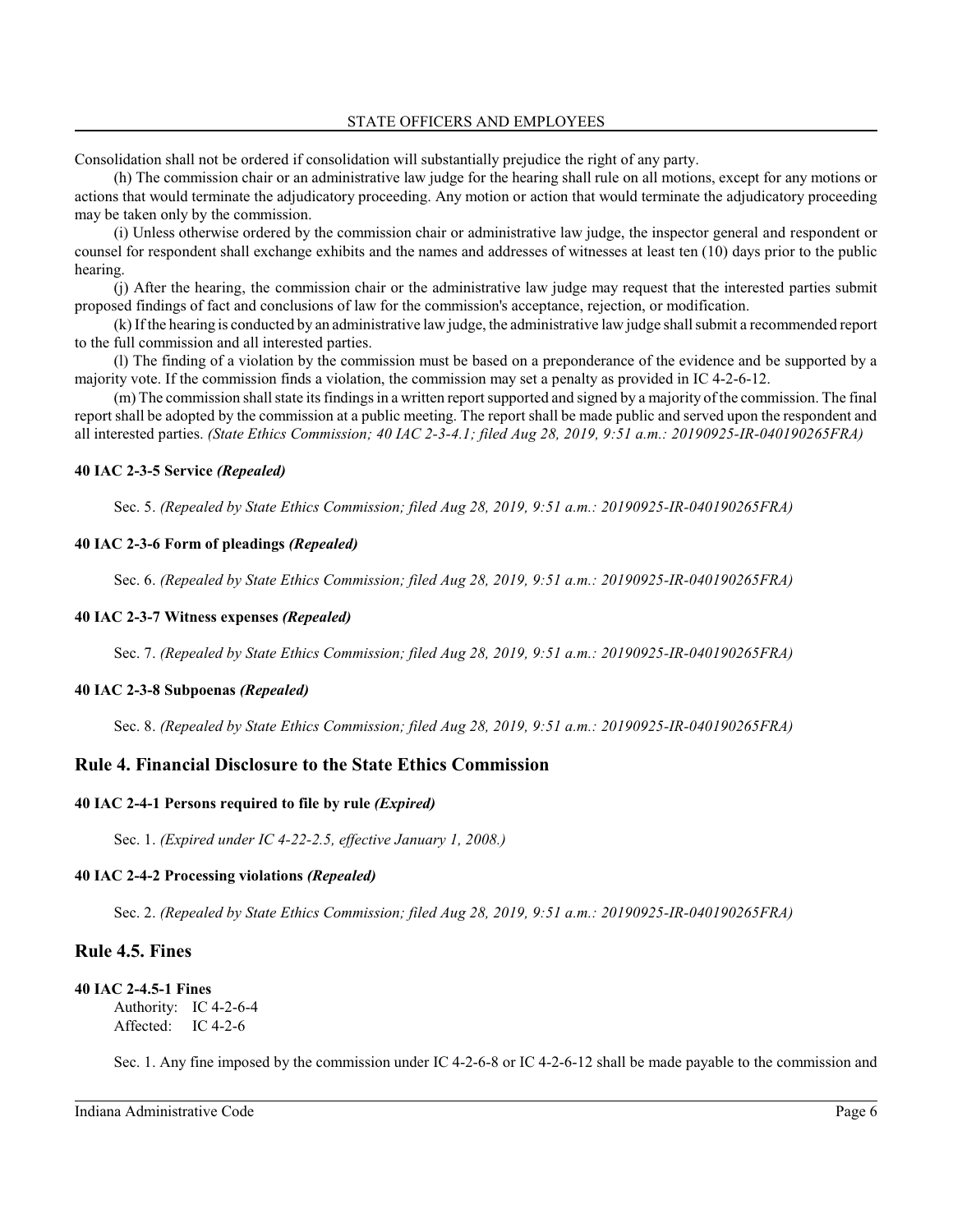Consolidation shall not be ordered if consolidation will substantially prejudice the right of any party.

(h) The commission chair or an administrative law judge for the hearing shall rule on all motions, except for any motions or actions that would terminate the adjudicatory proceeding. Any motion or action that would terminate the adjudicatory proceeding may be taken only by the commission.

(i) Unless otherwise ordered by the commission chair or administrative law judge, the inspector general and respondent or counsel for respondent shall exchange exhibits and the names and addresses of witnesses at least ten (10) days prior to the public hearing.

(j) After the hearing, the commission chair or the administrative law judge may request that the interested parties submit proposed findings of fact and conclusions of law for the commission's acceptance, rejection, or modification.

(k) If the hearing is conducted by an administrative lawjudge, the administrative law judge shall submit a recommended report to the full commission and all interested parties.

(l) The finding of a violation by the commission must be based on a preponderance of the evidence and be supported by a majority vote. If the commission finds a violation, the commission may set a penalty as provided in IC 4-2-6-12.

(m) The commission shall state its findingsin a written report supported and signed by a majority of the commission. The final report shall be adopted by the commission at a public meeting. The report shall be made public and served upon the respondent and all interested parties. *(State Ethics Commission; 40 IAC 2-3-4.1; filed Aug 28, 2019, 9:51 a.m.: 20190925-IR-040190265FRA)*

### **40 IAC 2-3-5 Service** *(Repealed)*

Sec. 5. *(Repealed by State Ethics Commission; filed Aug 28, 2019, 9:51 a.m.: 20190925-IR-040190265FRA)*

### **40 IAC 2-3-6 Form of pleadings** *(Repealed)*

Sec. 6. *(Repealed by State Ethics Commission; filed Aug 28, 2019, 9:51 a.m.: 20190925-IR-040190265FRA)*

#### **40 IAC 2-3-7 Witness expenses** *(Repealed)*

Sec. 7. *(Repealed by State Ethics Commission; filed Aug 28, 2019, 9:51 a.m.: 20190925-IR-040190265FRA)*

#### **40 IAC 2-3-8 Subpoenas** *(Repealed)*

Sec. 8. *(Repealed by State Ethics Commission; filed Aug 28, 2019, 9:51 a.m.: 20190925-IR-040190265FRA)*

# **Rule 4. Financial Disclosure to the State Ethics Commission**

#### **40 IAC 2-4-1 Persons required to file by rule** *(Expired)*

Sec. 1. *(Expired under IC 4-22-2.5, effective January 1, 2008.)*

#### **40 IAC 2-4-2 Processing violations** *(Repealed)*

Sec. 2. *(Repealed by State Ethics Commission; filed Aug 28, 2019, 9:51 a.m.: 20190925-IR-040190265FRA)*

# **Rule 4.5. Fines**

#### **40 IAC 2-4.5-1 Fines**

Authority: IC 4-2-6-4 Affected: IC 4-2-6

Sec. 1. Any fine imposed by the commission under IC 4-2-6-8 or IC 4-2-6-12 shall be made payable to the commission and